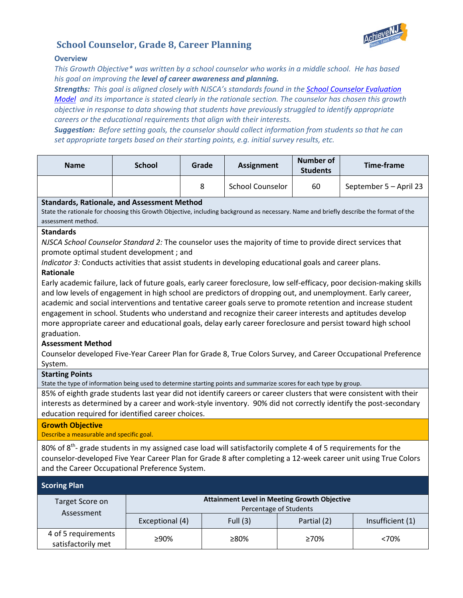

## **School Counselor, Grade 8, Career Planning**

## **Overview**

*This Growth Objective\* was written by a school counselor who works in a middle school. He has based his goal on improving the level of career awareness and planning.* 

*Strengths: This goal is aligned closely with NJSCA's standards found in th[e School Counselor Evaluation](http://www.njsca.org/school-counselor-evaluation-model)  [Model](http://www.njsca.org/school-counselor-evaluation-model) and its importance is stated clearly in the rationale section. The counselor has chosen this growth objective in response to data showing that students have previously struggled to identify appropriate careers or the educational requirements that align with their interests.* 

*Suggestion: Before setting goals, the counselor should collect information from students so that he can set appropriate targets based on their starting points, e.g. initial survey results, etc.*

| <b>Name</b>                                                                                                                                                                                                                                                                                                                                                                                                                                                                                                                                                                                                                                                                                                                                                                                                                                                                                                                                                                                                                                                           | <b>School</b> | Grade | <b>Assignment</b>       | <b>Number of</b><br><b>Students</b> | <b>Time-frame</b>      |  |  |  |
|-----------------------------------------------------------------------------------------------------------------------------------------------------------------------------------------------------------------------------------------------------------------------------------------------------------------------------------------------------------------------------------------------------------------------------------------------------------------------------------------------------------------------------------------------------------------------------------------------------------------------------------------------------------------------------------------------------------------------------------------------------------------------------------------------------------------------------------------------------------------------------------------------------------------------------------------------------------------------------------------------------------------------------------------------------------------------|---------------|-------|-------------------------|-------------------------------------|------------------------|--|--|--|
|                                                                                                                                                                                                                                                                                                                                                                                                                                                                                                                                                                                                                                                                                                                                                                                                                                                                                                                                                                                                                                                                       |               | 8     | <b>School Counselor</b> | 60                                  | September 5 - April 23 |  |  |  |
| <b>Standards, Rationale, and Assessment Method</b><br>State the rationale for choosing this Growth Objective, including background as necessary. Name and briefly describe the format of the<br>assessment method.                                                                                                                                                                                                                                                                                                                                                                                                                                                                                                                                                                                                                                                                                                                                                                                                                                                    |               |       |                         |                                     |                        |  |  |  |
| <b>Standards</b><br>NJSCA School Counselor Standard 2: The counselor uses the majority of time to provide direct services that<br>promote optimal student development; and<br>Indicator 3: Conducts activities that assist students in developing educational goals and career plans.<br><b>Rationale</b><br>Early academic failure, lack of future goals, early career foreclosure, low self-efficacy, poor decision-making skills<br>and low levels of engagement in high school are predictors of dropping out, and unemployment. Early career,<br>academic and social interventions and tentative career goals serve to promote retention and increase student<br>engagement in school. Students who understand and recognize their career interests and aptitudes develop<br>more appropriate career and educational goals, delay early career foreclosure and persist toward high school<br>graduation.<br><b>Assessment Method</b><br>Counselor developed Five-Year Career Plan for Grade 8, True Colors Survey, and Career Occupational Preference<br>System. |               |       |                         |                                     |                        |  |  |  |
| <b>Starting Points</b><br>State the type of information being used to determine starting points and summarize scores for each type by group.<br>85% of eighth grade students last year did not identify careers or career clusters that were consistent with their<br>interests as determined by a career and work-style inventory. 90% did not correctly identify the post-secondary                                                                                                                                                                                                                                                                                                                                                                                                                                                                                                                                                                                                                                                                                 |               |       |                         |                                     |                        |  |  |  |
| education required for identified career choices.<br><b>Growth Objective</b><br>Describe a measurable and specific goal.                                                                                                                                                                                                                                                                                                                                                                                                                                                                                                                                                                                                                                                                                                                                                                                                                                                                                                                                              |               |       |                         |                                     |                        |  |  |  |
| 80% of 8 <sup>th</sup> - grade students in my assigned case load will satisfactorily complete 4 of 5 requirements for the<br>counselor-developed Five Year Career Plan for Grade 8 after completing a 12-week career unit using True Colors<br>and the Career Occupational Preference System.                                                                                                                                                                                                                                                                                                                                                                                                                                                                                                                                                                                                                                                                                                                                                                         |               |       |                         |                                     |                        |  |  |  |

| <b>Scoring Plan</b>                       |                                                                               |            |             |                  |  |  |
|-------------------------------------------|-------------------------------------------------------------------------------|------------|-------------|------------------|--|--|
| Target Score on<br>Assessment             | <b>Attainment Level in Meeting Growth Objective</b><br>Percentage of Students |            |             |                  |  |  |
|                                           | Exceptional (4)                                                               | Full $(3)$ | Partial (2) | Insufficient (1) |  |  |
| 4 of 5 requirements<br>satisfactorily met | ≥90%                                                                          | ≥80%       | $\geq 70\%$ | <70%             |  |  |